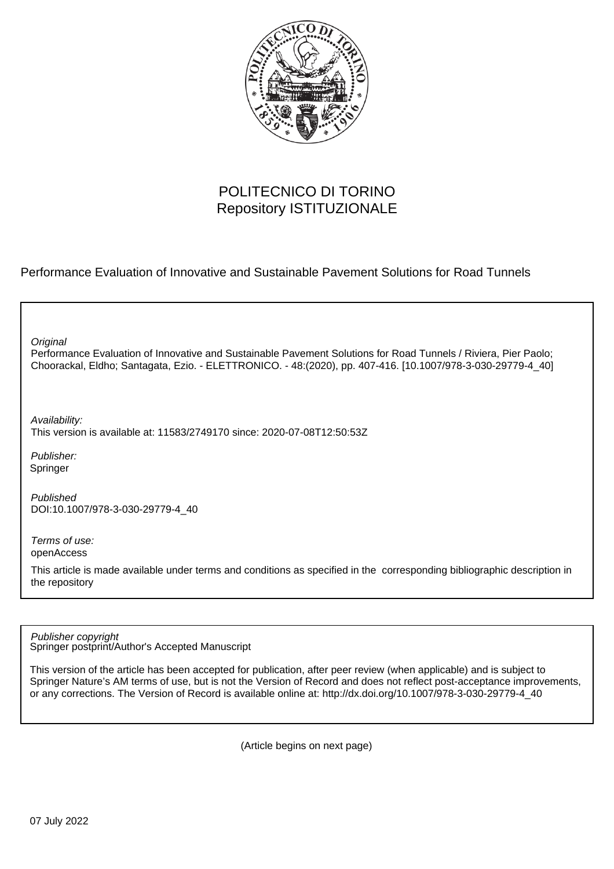

## POLITECNICO DI TORINO Repository ISTITUZIONALE

Performance Evaluation of Innovative and Sustainable Pavement Solutions for Road Tunnels

**Original** 

Performance Evaluation of Innovative and Sustainable Pavement Solutions for Road Tunnels / Riviera, Pier Paolo; Choorackal, Eldho; Santagata, Ezio. - ELETTRONICO. - 48:(2020), pp. 407-416. [10.1007/978-3-030-29779-4\_40]

Availability: This version is available at: 11583/2749170 since: 2020-07-08T12:50:53Z

Publisher: Springer

Published DOI:10.1007/978-3-030-29779-4\_40

Terms of use: openAccess

This article is made available under terms and conditions as specified in the corresponding bibliographic description in the repository

Springer postprint/Author's Accepted Manuscript Publisher copyright

This version of the article has been accepted for publication, after peer review (when applicable) and is subject to Springer Nature's AM terms of use, but is not the Version of Record and does not reflect post-acceptance improvements, or any corrections. The Version of Record is available online at: http://dx.doi.org/10.1007/978-3-030-29779-4\_40

(Article begins on next page)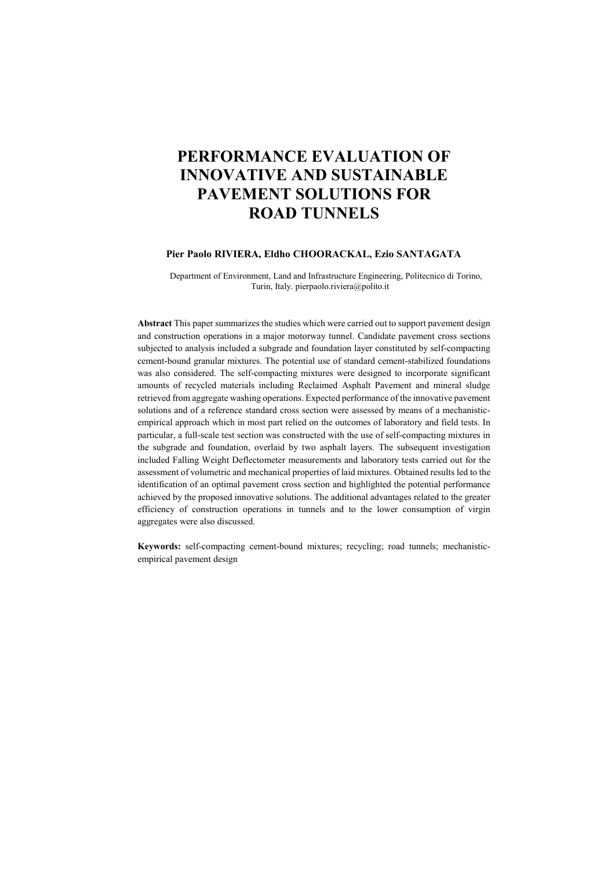# **PERFORMANCE EVALUATION OF INNOVATIVE AND SUSTAINABLE PAVEMENT SOLUTIONS FOR ROAD TUNNELS**

#### **Pier Paolo RIVIERA, Eldho CHOORACKAL, Ezio SANTAGATA**

Department of Environment, Land and Infrastructure Engineering, Politecnico di Torino, Turin, Italy. [pierpaolo.riviera@polito.it](mailto:pierpaolo.riviera@polito.it)

**Abstract** This paper summarizes the studies which were carried out to support pavement design and construction operations in a major motorway tunnel. Candidate pavement cross sections subjected to analysis included a subgrade and foundation layer constituted by self-compacting cement-bound granular mixtures. The potential use of standard cement-stabilized foundations was also considered. The self-compacting mixtures were designed to incorporate significant amounts of recycled materials including Reclaimed Asphalt Pavement and mineral sludge retrieved from aggregate washing operations. Expected performance of the innovative pavement solutions and of a reference standard cross section were assessed by means of a mechanisticempirical approach which in most part relied on the outcomes of laboratory and field tests. In particular, a full-scale test section was constructed with the use of self-compacting mixtures in the subgrade and foundation, overlaid by two asphalt layers. The subsequent investigation included Falling Weight Deflectometer measurements and laboratory tests carried out for the assessment of volumetric and mechanical properties of laid mixtures. Obtained results led to the identification of an optimal pavement cross section and highlighted the potential performance achieved by the proposed innovative solutions. The additional advantages related to the greater efficiency of construction operations in tunnels and to the lower consumption of virgin aggregates were also discussed.

**Keywords:** self-compacting cement-bound mixtures; recycling; road tunnels; mechanisticempirical pavement design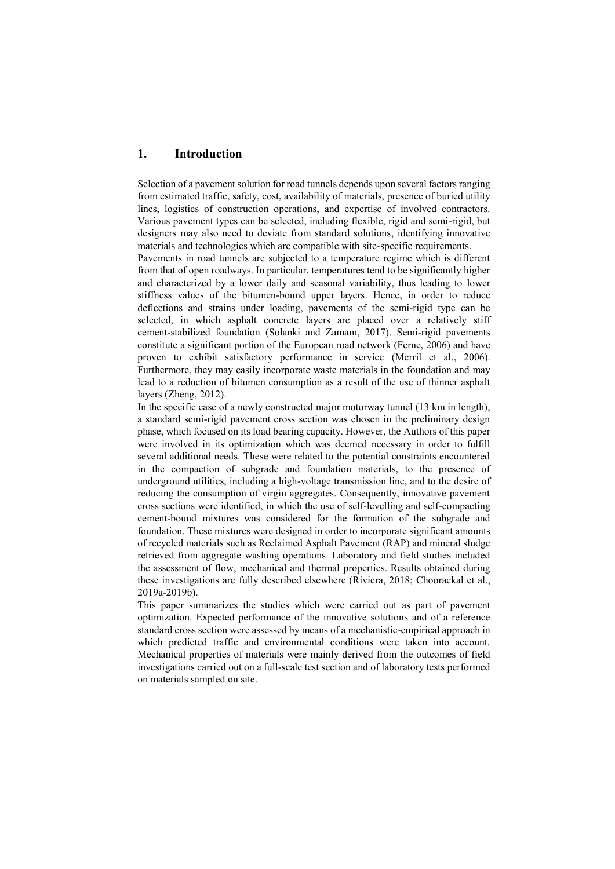## **1. Introduction**

Selection of a pavement solution for road tunnels depends upon several factors ranging from estimated traffic, safety, cost, availability of materials, presence of buried utility lines, logistics of construction operations, and expertise of involved contractors. Various pavement types can be selected, including flexible, rigid and semi-rigid, but designers may also need to deviate from standard solutions, identifying innovative materials and technologies which are compatible with site-specific requirements.

Pavements in road tunnels are subjected to a temperature regime which is different from that of open roadways. In particular, temperatures tend to be significantly higher and characterized by a lower daily and seasonal variability, thus leading to lower stiffness values of the bitumen-bound upper layers. Hence, in order to reduce deflections and strains under loading, pavements of the semi-rigid type can be selected, in which asphalt concrete layers are placed over a relatively stiff cement-stabilized foundation (Solanki and Zamam, 2017). Semi-rigid pavements constitute a significant portion of the European road network (Ferne, 2006) and have proven to exhibit satisfactory performance in service (Merril et al., 2006). Furthermore, they may easily incorporate waste materials in the foundation and may lead to a reduction of bitumen consumption as a result of the use of thinner asphalt layers (Zheng, 2012).

In the specific case of a newly constructed major motorway tunnel (13 km in length), a standard semi-rigid pavement cross section was chosen in the preliminary design phase, which focused on its load bearing capacity. However, the Authors of this paper were involved in its optimization which was deemed necessary in order to fulfill several additional needs. These were related to the potential constraints encountered in the compaction of subgrade and foundation materials, to the presence of underground utilities, including a high-voltage transmission line, and to the desire of reducing the consumption of virgin aggregates. Consequently, innovative pavement cross sections were identified, in which the use of self-levelling and self-compacting cement-bound mixtures was considered for the formation of the subgrade and foundation. These mixtures were designed in order to incorporate significant amounts of recycled materials such as Reclaimed Asphalt Pavement (RAP) and mineral sludge retrieved from aggregate washing operations. Laboratory and field studies included the assessment of flow, mechanical and thermal properties. Results obtained during these investigations are fully described elsewhere (Riviera, 2018; Choorackal et al., 2019a-2019b).

This paper summarizes the studies which were carried out as part of pavement optimization. Expected performance of the innovative solutions and of a reference standard cross section were assessed by means of a mechanistic-empirical approach in which predicted traffic and environmental conditions were taken into account. Mechanical properties of materials were mainly derived from the outcomes of field investigations carried out on a full-scale test section and of laboratory tests performed on materials sampled on site.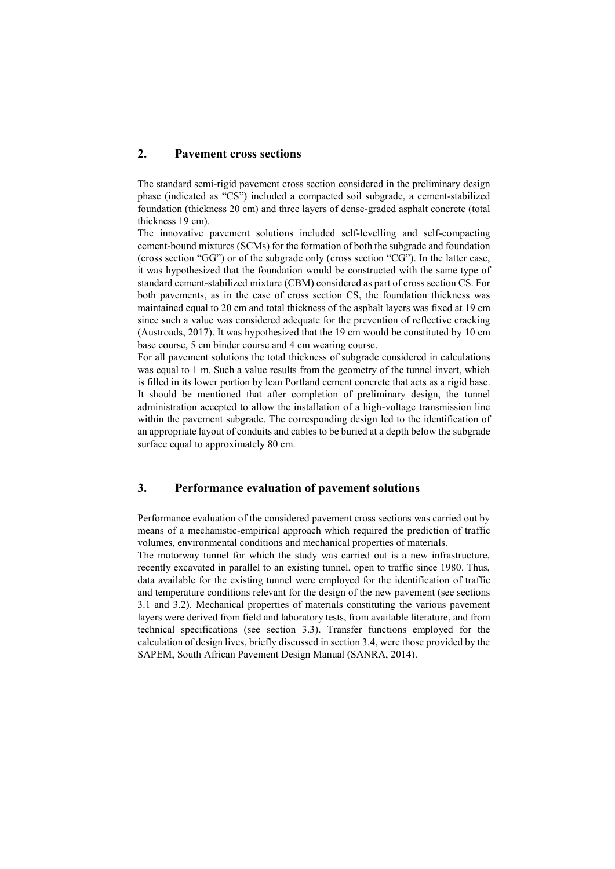## **2. Pavement cross sections**

The standard semi-rigid pavement cross section considered in the preliminary design phase (indicated as "CS") included a compacted soil subgrade, a cement-stabilized foundation (thickness 20 cm) and three layers of dense-graded asphalt concrete (total thickness 19 cm).

The innovative pavement solutions included self-levelling and self-compacting cement-bound mixtures (SCMs) for the formation of both the subgrade and foundation (cross section "GG") or of the subgrade only (cross section "CG"). In the latter case, it was hypothesized that the foundation would be constructed with the same type of standard cement-stabilized mixture (CBM) considered as part of cross section CS. For both pavements, as in the case of cross section CS, the foundation thickness was maintained equal to 20 cm and total thickness of the asphalt layers was fixed at 19 cm since such a value was considered adequate for the prevention of reflective cracking (Austroads, 2017). It was hypothesized that the 19 cm would be constituted by 10 cm base course, 5 cm binder course and 4 cm wearing course.

For all pavement solutions the total thickness of subgrade considered in calculations was equal to 1 m. Such a value results from the geometry of the tunnel invert, which is filled in its lower portion by lean Portland cement concrete that acts as a rigid base. It should be mentioned that after completion of preliminary design, the tunnel administration accepted to allow the installation of a high-voltage transmission line within the pavement subgrade. The corresponding design led to the identification of an appropriate layout of conduits and cables to be buried at a depth below the subgrade surface equal to approximately 80 cm.

## **3. Performance evaluation of pavement solutions**

Performance evaluation of the considered pavement cross sections was carried out by means of a mechanistic-empirical approach which required the prediction of traffic volumes, environmental conditions and mechanical properties of materials.

The motorway tunnel for which the study was carried out is a new infrastructure, recently excavated in parallel to an existing tunnel, open to traffic since 1980. Thus, data available for the existing tunnel were employed for the identification of traffic and temperature conditions relevant for the design of the new pavement (see sections 3.1 and 3.2). Mechanical properties of materials constituting the various pavement layers were derived from field and laboratory tests, from available literature, and from technical specifications (see section 3.3). Transfer functions employed for the calculation of design lives, briefly discussed in section 3.4, were those provided by the SAPEM, South African Pavement Design Manual (SANRA, 2014).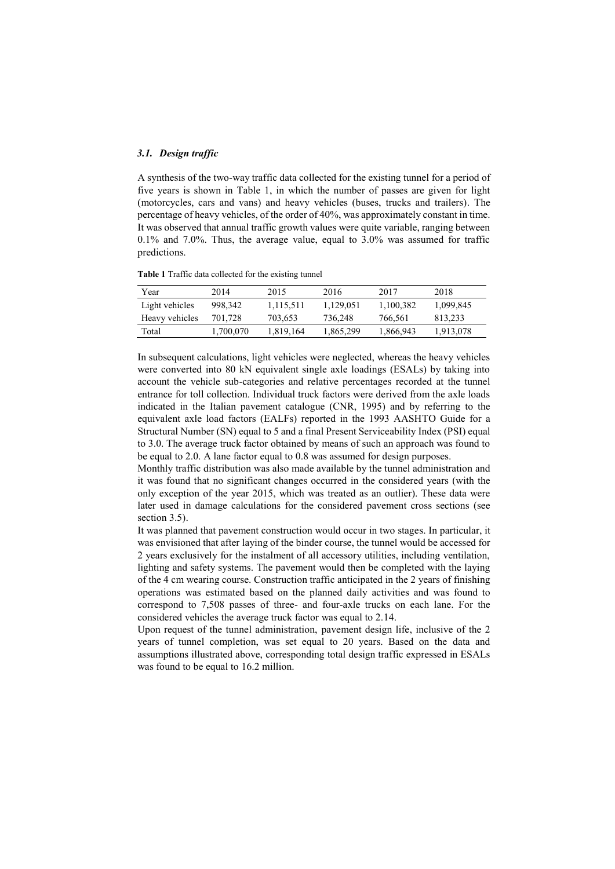#### *3.1. Design traffic*

A synthesis of the two-way traffic data collected for the existing tunnel for a period of five years is shown in Table 1, in which the number of passes are given for light (motorcycles, cars and vans) and heavy vehicles (buses, trucks and trailers). The percentage of heavy vehicles, of the order of 40%, was approximately constant in time. It was observed that annual traffic growth values were quite variable, ranging between 0.1% and 7.0%. Thus, the average value, equal to 3.0% was assumed for traffic predictions.

**Table 1** Traffic data collected for the existing tunnel

| Year           | 2014      | 2015      | 2016      | 2017      | 2018      |
|----------------|-----------|-----------|-----------|-----------|-----------|
| Light vehicles | 998.342   | 1,115,511 | 1.129.051 | 1,100,382 | 1,099,845 |
| Heavy vehicles | 701.728   | 703.653   | 736,248   | 766,561   | 813.233   |
| Total          | 1,700,070 | 1,819,164 | 1,865,299 | 1,866,943 | 1,913,078 |

In subsequent calculations, light vehicles were neglected, whereas the heavy vehicles were converted into 80 kN equivalent single axle loadings (ESALs) by taking into account the vehicle sub-categories and relative percentages recorded at the tunnel entrance for toll collection. Individual truck factors were derived from the axle loads indicated in the Italian pavement catalogue (CNR, 1995) and by referring to the equivalent axle load factors (EALFs) reported in the 1993 AASHTO Guide for a Structural Number (SN) equal to 5 and a final Present Serviceability Index (PSI) equal to 3.0. The average truck factor obtained by means of such an approach was found to be equal to 2.0. A lane factor equal to 0.8 was assumed for design purposes.

Monthly traffic distribution was also made available by the tunnel administration and it was found that no significant changes occurred in the considered years (with the only exception of the year 2015, which was treated as an outlier). These data were later used in damage calculations for the considered pavement cross sections (see section 3.5).

It was planned that pavement construction would occur in two stages. In particular, it was envisioned that after laying of the binder course, the tunnel would be accessed for 2 years exclusively for the instalment of all accessory utilities, including ventilation, lighting and safety systems. The pavement would then be completed with the laying of the 4 cm wearing course. Construction traffic anticipated in the 2 years of finishing operations was estimated based on the planned daily activities and was found to correspond to 7,508 passes of three- and four-axle trucks on each lane. For the considered vehicles the average truck factor was equal to 2.14.

Upon request of the tunnel administration, pavement design life, inclusive of the 2 years of tunnel completion, was set equal to 20 years. Based on the data and assumptions illustrated above, corresponding total design traffic expressed in ESALs was found to be equal to 16.2 million.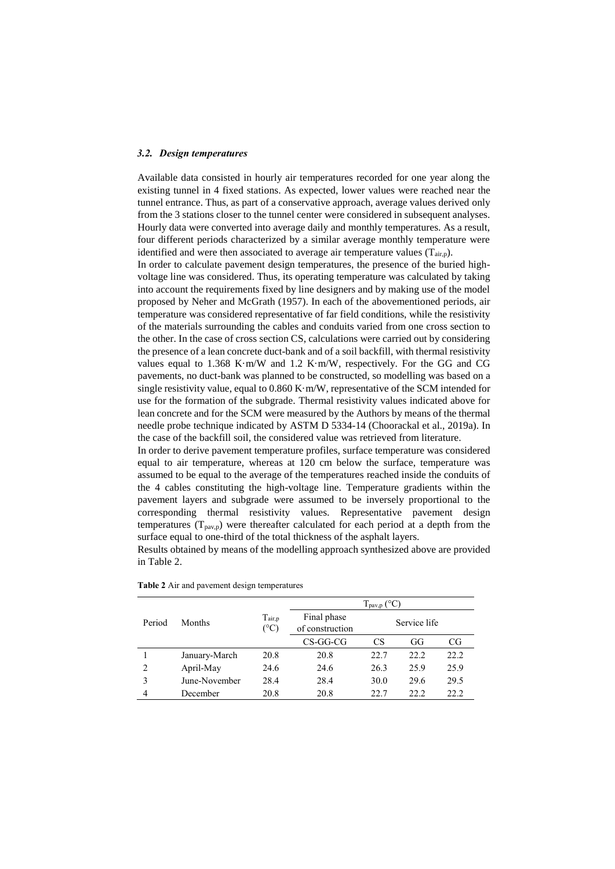#### *3.2. Design temperatures*

Available data consisted in hourly air temperatures recorded for one year along the existing tunnel in 4 fixed stations. As expected, lower values were reached near the tunnel entrance. Thus, as part of a conservative approach, average values derived only from the 3 stations closer to the tunnel center were considered in subsequent analyses. Hourly data were converted into average daily and monthly temperatures. As a result, four different periods characterized by a similar average monthly temperature were identified and were then associated to average air temperature values  $(T_{air, p})$ .

In order to calculate pavement design temperatures, the presence of the buried highvoltage line was considered. Thus, its operating temperature was calculated by taking into account the requirements fixed by line designers and by making use of the model proposed by Neher and McGrath (1957). In each of the abovementioned periods, air temperature was considered representative of far field conditions, while the resistivity of the materials surrounding the cables and conduits varied from one cross section to the other. In the case of cross section CS, calculations were carried out by considering the presence of a lean concrete duct-bank and of a soil backfill, with thermal resistivity values equal to 1.368 K·m/W and 1.2 K·m/W, respectively. For the GG and CG pavements, no duct-bank was planned to be constructed, so modelling was based on a single resistivity value, equal to 0.860 K·m/W, representative of the SCM intended for use for the formation of the subgrade. Thermal resistivity values indicated above for lean concrete and for the SCM were measured by the Authors by means of the thermal needle probe technique indicated by ASTM D 5334-14 (Choorackal et al., 2019a). In the case of the backfill soil, the considered value was retrieved from literature.

In order to derive pavement temperature profiles, surface temperature was considered equal to air temperature, whereas at 120 cm below the surface, temperature was assumed to be equal to the average of the temperatures reached inside the conduits of the 4 cables constituting the high-voltage line. Temperature gradients within the pavement layers and subgrade were assumed to be inversely proportional to the corresponding thermal resistivity values. Representative pavement design temperatures  $(T_{\text{pav},p})$  were thereafter calculated for each period at a depth from the surface equal to one-third of the total thickness of the asphalt layers.

Results obtained by means of the modelling approach synthesized above are provided in Table 2.

|                |               | $\mathrm{T}_{\mathrm{air,p}}$<br>$(^\circ C)$ | $T_{\text{pav},\text{p}}$ (°C) |              |      |      |
|----------------|---------------|-----------------------------------------------|--------------------------------|--------------|------|------|
| Period         | Months        |                                               | Final phase<br>of construction | Service life |      |      |
|                |               |                                               | $CS-GG-CG$                     | CS           | GG   | CG   |
|                | January-March | 20.8                                          | 20.8                           | 22.7         | 22.2 | 22.2 |
| $\overline{2}$ | April-May     | 24.6                                          | 24.6                           | 26.3         | 25.9 | 25.9 |
|                | June-November | 28.4                                          | 28.4                           | 30.0         | 29.6 | 29.5 |
|                | December      | 20.8                                          | 20.8                           | 22.7         | 22.2 | 22.2 |

|  |  |  |  |  | Table 2 Air and pavement design temperatures |
|--|--|--|--|--|----------------------------------------------|
|--|--|--|--|--|----------------------------------------------|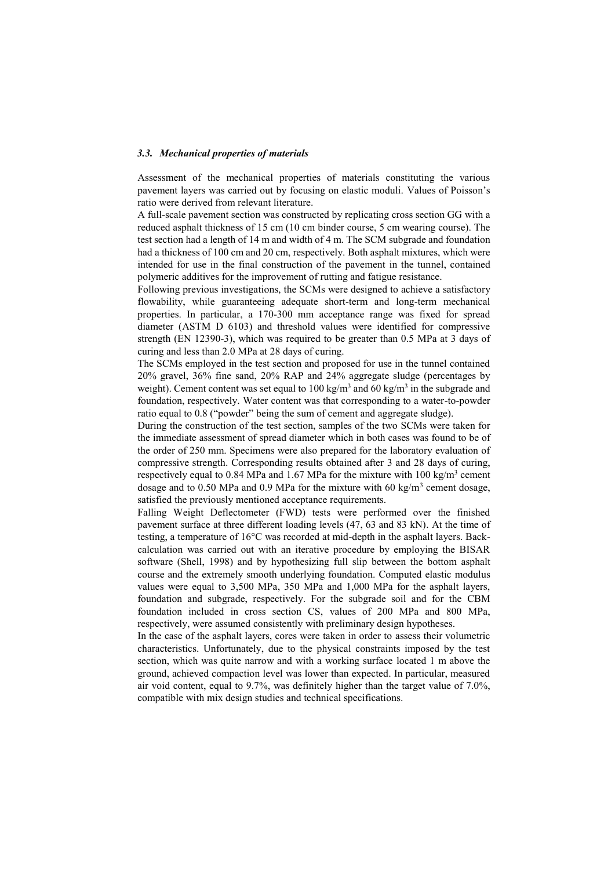#### *3.3. Mechanical properties of materials*

Assessment of the mechanical properties of materials constituting the various pavement layers was carried out by focusing on elastic moduli. Values of Poisson's ratio were derived from relevant literature.

A full-scale pavement section was constructed by replicating cross section GG with a reduced asphalt thickness of 15 cm (10 cm binder course, 5 cm wearing course). The test section had a length of 14 m and width of 4 m. The SCM subgrade and foundation had a thickness of 100 cm and 20 cm, respectively. Both asphalt mixtures, which were intended for use in the final construction of the pavement in the tunnel, contained polymeric additives for the improvement of rutting and fatigue resistance.

Following previous investigations, the SCMs were designed to achieve a satisfactory flowability, while guaranteeing adequate short-term and long-term mechanical properties. In particular, a 170-300 mm acceptance range was fixed for spread diameter (ASTM D 6103) and threshold values were identified for compressive strength (EN 12390-3), which was required to be greater than 0.5 MPa at 3 days of curing and less than 2.0 MPa at 28 days of curing.

The SCMs employed in the test section and proposed for use in the tunnel contained 20% gravel, 36% fine sand, 20% RAP and 24% aggregate sludge (percentages by weight). Cement content was set equal to 100 kg/m<sup>3</sup> and 60 kg/m<sup>3</sup> in the subgrade and foundation, respectively. Water content was that corresponding to a water-to-powder ratio equal to 0.8 ("powder" being the sum of cement and aggregate sludge).

During the construction of the test section, samples of the two SCMs were taken for the immediate assessment of spread diameter which in both cases was found to be of the order of 250 mm. Specimens were also prepared for the laboratory evaluation of compressive strength. Corresponding results obtained after 3 and 28 days of curing, respectively equal to 0.84 MPa and 1.67 MPa for the mixture with 100 kg/m<sup>3</sup> cement dosage and to 0.50 MPa and 0.9 MPa for the mixture with 60 kg/m<sup>3</sup> cement dosage, satisfied the previously mentioned acceptance requirements.

Falling Weight Deflectometer (FWD) tests were performed over the finished pavement surface at three different loading levels (47, 63 and 83 kN). At the time of testing, a temperature of 16°C was recorded at mid-depth in the asphalt layers. Backcalculation was carried out with an iterative procedure by employing the BISAR software (Shell, 1998) and by hypothesizing full slip between the bottom asphalt course and the extremely smooth underlying foundation. Computed elastic modulus values were equal to 3,500 MPa, 350 MPa and 1,000 MPa for the asphalt layers, foundation and subgrade, respectively. For the subgrade soil and for the CBM foundation included in cross section CS, values of 200 MPa and 800 MPa, respectively, were assumed consistently with preliminary design hypotheses.

In the case of the asphalt layers, cores were taken in order to assess their volumetric characteristics. Unfortunately, due to the physical constraints imposed by the test section, which was quite narrow and with a working surface located 1 m above the ground, achieved compaction level was lower than expected. In particular, measured air void content, equal to 9.7%, was definitely higher than the target value of 7.0%, compatible with mix design studies and technical specifications.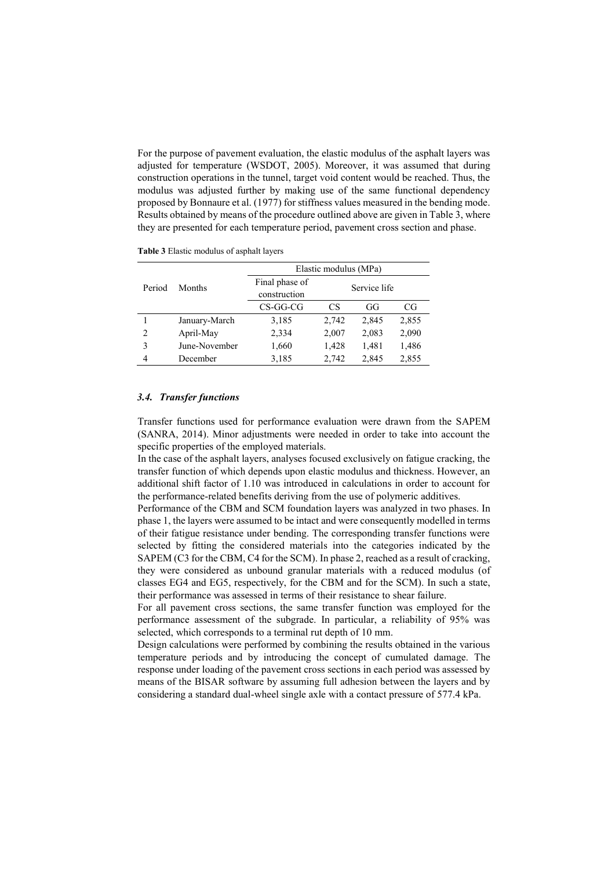For the purpose of pavement evaluation, the elastic modulus of the asphalt layers was adjusted for temperature (WSDOT, 2005). Moreover, it was assumed that during construction operations in the tunnel, target void content would be reached. Thus, the modulus was adjusted further by making use of the same functional dependency proposed by Bonnaure et al. (1977) for stiffness values measured in the bending mode. Results obtained by means of the procedure outlined above are given in Table 3, where they are presented for each temperature period, pavement cross section and phase.

**Table 3** Elastic modulus of asphalt layers

|                |               | Elastic modulus (MPa)          |              |       |       |  |
|----------------|---------------|--------------------------------|--------------|-------|-------|--|
| Period         | Months        | Final phase of<br>construction | Service life |       |       |  |
|                |               | $CS-GG-CG$                     | CS           | GG    | CG    |  |
|                | January-March | 3,185                          | 2,742        | 2,845 | 2,855 |  |
| $\mathfrak{D}$ | April-May     | 2,334                          | 2,007        | 2,083 | 2,090 |  |
| 3              | June-November | 1,660                          | 1,428        | 1,481 | 1,486 |  |
|                | December      | 3,185                          | 2,742        | 2,845 | 2,855 |  |

#### *3.4. Transfer functions*

Transfer functions used for performance evaluation were drawn from the SAPEM (SANRA, 2014). Minor adjustments were needed in order to take into account the specific properties of the employed materials.

In the case of the asphalt layers, analyses focused exclusively on fatigue cracking, the transfer function of which depends upon elastic modulus and thickness. However, an additional shift factor of 1.10 was introduced in calculations in order to account for the performance-related benefits deriving from the use of polymeric additives.

Performance of the CBM and SCM foundation layers was analyzed in two phases. In phase 1, the layers were assumed to be intact and were consequently modelled in terms of their fatigue resistance under bending. The corresponding transfer functions were selected by fitting the considered materials into the categories indicated by the SAPEM (C3 for the CBM, C4 for the SCM). In phase 2, reached as a result of cracking, they were considered as unbound granular materials with a reduced modulus (of classes EG4 and EG5, respectively, for the CBM and for the SCM). In such a state, their performance was assessed in terms of their resistance to shear failure.

For all pavement cross sections, the same transfer function was employed for the performance assessment of the subgrade. In particular, a reliability of 95% was selected, which corresponds to a terminal rut depth of 10 mm.

Design calculations were performed by combining the results obtained in the various temperature periods and by introducing the concept of cumulated damage. The response under loading of the pavement cross sections in each period was assessed by means of the BISAR software by assuming full adhesion between the layers and by considering a standard dual-wheel single axle with a contact pressure of 577.4 kPa.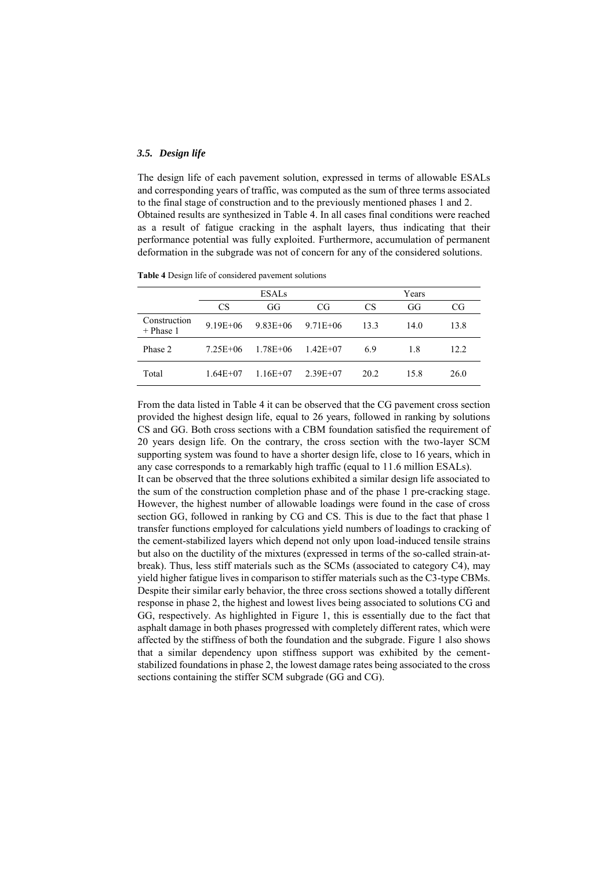#### *3.5. Design life*

The design life of each pavement solution, expressed in terms of allowable ESALs and corresponding years of traffic, was computed as the sum of three terms associated to the final stage of construction and to the previously mentioned phases 1 and 2. Obtained results are synthesized in Table 4. In all cases final conditions were reached as a result of fatigue cracking in the asphalt layers, thus indicating that their performance potential was fully exploited. Furthermore, accumulation of permanent deformation in the subgrade was not of concern for any of the considered solutions.

**Table 4** Design life of considered pavement solutions

|                             | <b>ESALs</b> |              |              | Years     |      |      |
|-----------------------------|--------------|--------------|--------------|-----------|------|------|
|                             | CS           | GG           | CG           | <b>CS</b> | GG   | CG   |
| Construction<br>$+$ Phase 1 | $9.19E + 06$ | $9.83E + 06$ | $9.71E + 06$ | 13.3      | 14.0 | 13.8 |
| Phase 2                     | $7.25E + 06$ | $1.78E + 06$ | $1.42E+07$   | 6.9       | 1.8  | 12.2 |
| Total                       | $1.64E + 07$ | $1.16E + 07$ | $2.39E+07$   | 20.2      | 15.8 | 26.0 |

From the data listed in Table 4 it can be observed that the CG pavement cross section provided the highest design life, equal to 26 years, followed in ranking by solutions CS and GG. Both cross sections with a CBM foundation satisfied the requirement of 20 years design life. On the contrary, the cross section with the two-layer SCM supporting system was found to have a shorter design life, close to 16 years, which in any case corresponds to a remarkably high traffic (equal to 11.6 million ESALs).

It can be observed that the three solutions exhibited a similar design life associated to the sum of the construction completion phase and of the phase 1 pre-cracking stage. However, the highest number of allowable loadings were found in the case of cross section GG, followed in ranking by CG and CS. This is due to the fact that phase 1 transfer functions employed for calculations yield numbers of loadings to cracking of the cement-stabilized layers which depend not only upon load-induced tensile strains but also on the ductility of the mixtures (expressed in terms of the so-called strain-atbreak). Thus, less stiff materials such as the SCMs (associated to category C4), may yield higher fatigue lives in comparison to stiffer materials such as the C3-type CBMs. Despite their similar early behavior, the three cross sections showed a totally different response in phase 2, the highest and lowest lives being associated to solutions CG and GG, respectively. As highlighted in Figure 1, this is essentially due to the fact that asphalt damage in both phases progressed with completely different rates, which were affected by the stiffness of both the foundation and the subgrade. Figure 1 also shows that a similar dependency upon stiffness support was exhibited by the cementstabilized foundations in phase 2, the lowest damage rates being associated to the cross sections containing the stiffer SCM subgrade (GG and CG).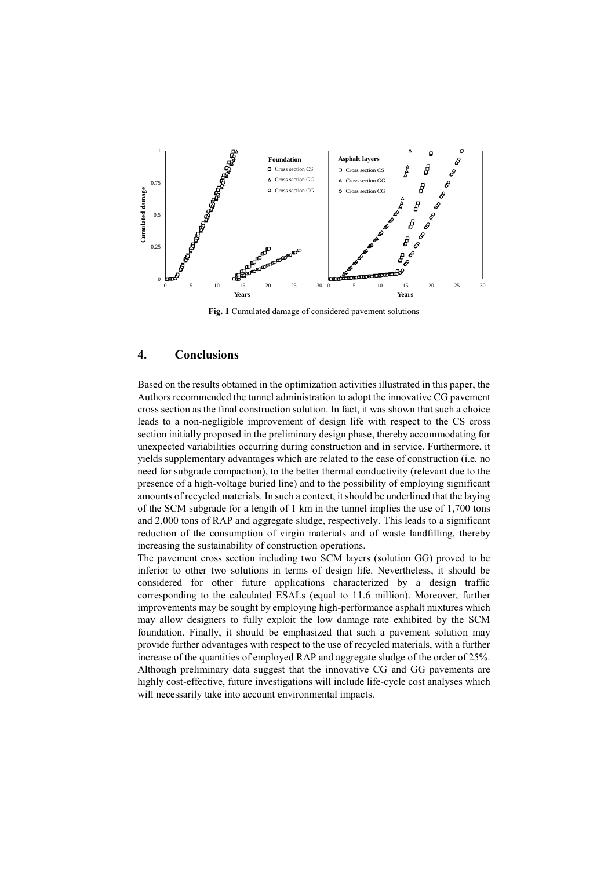

**Fig. 1** Cumulated damage of considered pavement solutions

## **4. Conclusions**

Based on the results obtained in the optimization activities illustrated in this paper, the Authors recommended the tunnel administration to adopt the innovative CG pavement cross section as the final construction solution. In fact, it was shown that such a choice leads to a non-negligible improvement of design life with respect to the CS cross section initially proposed in the preliminary design phase, thereby accommodating for unexpected variabilities occurring during construction and in service. Furthermore, it yields supplementary advantages which are related to the ease of construction (i.e. no need for subgrade compaction), to the better thermal conductivity (relevant due to the presence of a high-voltage buried line) and to the possibility of employing significant amounts of recycled materials. In such a context, it should be underlined that the laying of the SCM subgrade for a length of 1 km in the tunnel implies the use of 1,700 tons and 2,000 tons of RAP and aggregate sludge, respectively. This leads to a significant reduction of the consumption of virgin materials and of waste landfilling, thereby increasing the sustainability of construction operations.

The pavement cross section including two SCM layers (solution GG) proved to be inferior to other two solutions in terms of design life. Nevertheless, it should be considered for other future applications characterized by a design traffic corresponding to the calculated ESALs (equal to 11.6 million). Moreover, further improvements may be sought by employing high-performance asphalt mixtures which may allow designers to fully exploit the low damage rate exhibited by the SCM foundation. Finally, it should be emphasized that such a pavement solution may provide further advantages with respect to the use of recycled materials, with a further increase of the quantities of employed RAP and aggregate sludge of the order of 25%. Although preliminary data suggest that the innovative CG and GG pavements are highly cost-effective, future investigations will include life-cycle cost analyses which will necessarily take into account environmental impacts.